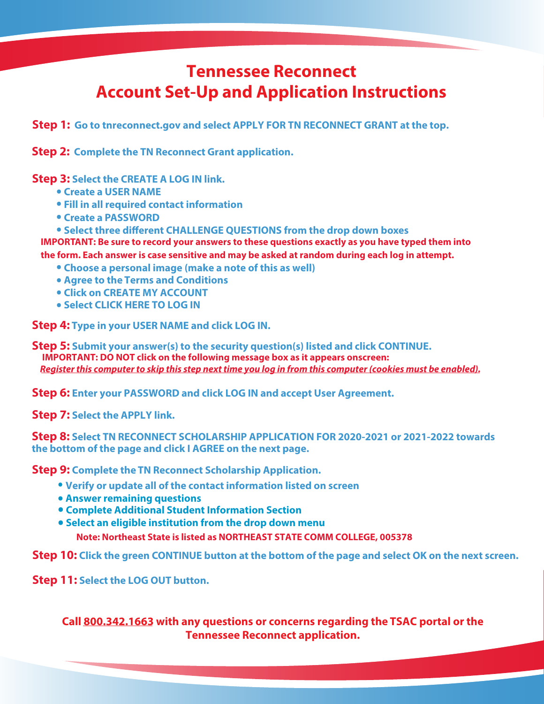## **Tennessee Reconnect Account Set-Up and Application Instructions**

**Step 1: Go to tnreconnect.gov and select APPLY FOR TN RECONNECT GRANT at the top.**

**Step 2: Complete the TN Reconnect Grant application.**

**Step 3: Select the CREATE A LOG IN link.**

- **S:** Select the CREATE .<br>• Create a USER NAME
- **Fill in all required contact information .**
- **Fill in all required co<br>• Create a PASSWORD**
- Create a PASSWORD<br>• Select three different CHALLENGE QUESTIONS from the drop down boxes

**IMPORTANT: Be sure to record your answers to these questions exactly as you have typed them into** 

- **the form. Each answer is case sensitive and may be asked at random during each log in attempt.**
	- form. Each answer is case sensitive and may be asked at ran<br>• Choose a personal image (make a note of this as well)
	- Choose a personal image (make a r<br>• Agree to the Terms and Conditions
	- **Click on CREATE MY ACCOUNT .**
	- **Click on CREATE MY ACCOUN<br>• Select CLICK HERE TO LOG IN**

**Step 4: Type in your USER NAME and click LOG IN.**

**Step 5: Submit your answer(s) to the security question(s) listed and click CONTINUE. IMPORTANT: DO NOT click on the following message box as it appears onscreen:** *Register this computer to skip this step next time you log in from this computer (***c***ookies must be* **en***abled).*

**Step 6: Enter your PASSWORD and click LOG IN and accept User Agreement.**

**Step 7: Select the APPLY link.**

**Step 8: Select TN RECONNECT SCHOLARSHIP APPLICATION FOR 2020-2021 or 2021-2022 towards the bottom of the page and click I AGREE on the next page.**

**Step 9:** Complete the TN Reconnect Scholarship Application.<br>
• Verify or update all of the contact information listed of

- **Verify or update all of the contact information listed on screen**
- Verify or update all of the com<br>• Answer remaining questions **.**
- **Complete Additional Student Information Section**
- **Complete Additional Student Information Section Select an eligible institution from the drop down menu**

**Note: Northeast State is listed as NORTHEAST STATE COMM COLLEGE, 005378**

**Step 10: Click the green CONTINUE button at the bottom of the page and select OK on the next screen.**

**Step 11: Select the LOG OUT button.**

**Call 800.342.1663 with any questions or concerns regarding the TSAC portal or the Tennessee Reconnect application.**